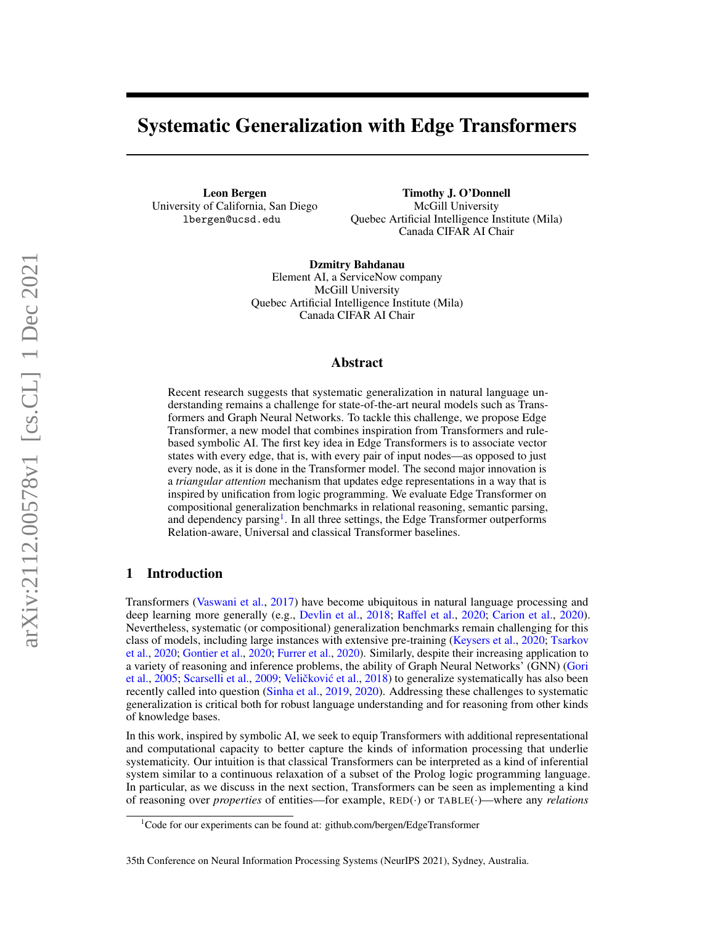# Systematic Generalization with Edge Transformers

Leon Bergen University of California, San Diego lbergen@ucsd.edu

Timothy J. O'Donnell McGill University Quebec Artificial Intelligence Institute (Mila) Canada CIFAR AI Chair

Dzmitry Bahdanau Element AI, a ServiceNow company McGill University Quebec Artificial Intelligence Institute (Mila) Canada CIFAR AI Chair

#### Abstract

Recent research suggests that systematic generalization in natural language understanding remains a challenge for state-of-the-art neural models such as Transformers and Graph Neural Networks. To tackle this challenge, we propose Edge Transformer, a new model that combines inspiration from Transformers and rulebased symbolic AI. The first key idea in Edge Transformers is to associate vector states with every edge, that is, with every pair of input nodes—as opposed to just every node, as it is done in the Transformer model. The second major innovation is a *triangular attention* mechanism that updates edge representations in a way that is inspired by unification from logic programming. We evaluate Edge Transformer on compositional generalization benchmarks in relational reasoning, semantic parsing, and dependency parsing<sup>[1](#page-0-0)</sup>. In all three settings, the Edge Transformer outperforms Relation-aware, Universal and classical Transformer baselines.

# 1 Introduction

Transformers [\(Vaswani et al.,](#page-12-0) [2017\)](#page-12-0) have become ubiquitous in natural language processing and deep learning more generally (e.g., [Devlin et al.,](#page-10-0) [2018;](#page-10-0) [Raffel et al.,](#page-12-1) [2020;](#page-12-1) [Carion et al.,](#page-10-1) [2020\)](#page-10-1). Nevertheless, systematic (or compositional) generalization benchmarks remain challenging for this class of models, including large instances with extensive pre-training [\(Keysers et al.,](#page-11-0) [2020;](#page-11-0) [Tsarkov](#page-12-2) [et al.,](#page-12-2) [2020;](#page-12-2) [Gontier et al.,](#page-11-1) [2020;](#page-11-1) [Furrer et al.,](#page-11-2) [2020\)](#page-11-2). Similarly, despite their increasing application to a variety of reasoning and inference problems, the ability of Graph Neural Networks' (GNN) [\(Gori](#page-11-3) [et al.,](#page-11-3) [2005;](#page-11-3) [Scarselli et al.,](#page-12-3) [2009;](#page-12-3) Veličković et al., [2018\)](#page-12-4) to generalize systematically has also been recently called into question [\(Sinha et al.,](#page-12-5) [2019,](#page-12-5) [2020\)](#page-12-6). Addressing these challenges to systematic generalization is critical both for robust language understanding and for reasoning from other kinds of knowledge bases.

In this work, inspired by symbolic AI, we seek to equip Transformers with additional representational and computational capacity to better capture the kinds of information processing that underlie systematicity. Our intuition is that classical Transformers can be interpreted as a kind of inferential system similar to a continuous relaxation of a subset of the Prolog logic programming language. In particular, as we discuss in the next section, Transformers can be seen as implementing a kind of reasoning over *properties* of entities—for example, RED(·) or TABLE(·)—where any *relations*

<span id="page-0-0"></span><sup>&</sup>lt;sup>1</sup>Code for our experiments can be found at: github.com/bergen/EdgeTransformer

<sup>35</sup>th Conference on Neural Information Processing Systems (NeurIPS 2021), Sydney, Australia.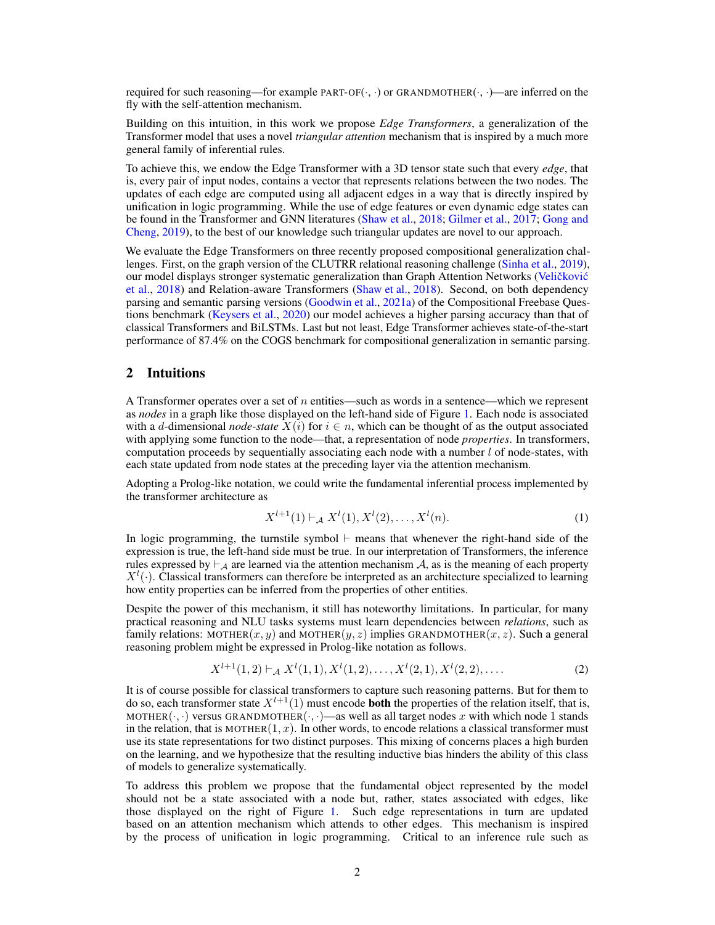required for such reasoning—for example PART-OF $(\cdot, \cdot)$  or GRANDMOTHER $(\cdot, \cdot)$ —are inferred on the fly with the self-attention mechanism.

Building on this intuition, in this work we propose *Edge Transformers*, a generalization of the Transformer model that uses a novel *triangular attention* mechanism that is inspired by a much more general family of inferential rules.

To achieve this, we endow the Edge Transformer with a 3D tensor state such that every *edge*, that is, every pair of input nodes, contains a vector that represents relations between the two nodes. The updates of each edge are computed using all adjacent edges in a way that is directly inspired by unification in logic programming. While the use of edge features or even dynamic edge states can be found in the Transformer and GNN literatures [\(Shaw et al.,](#page-12-7) [2018;](#page-12-7) [Gilmer et al.,](#page-11-4) [2017;](#page-11-4) [Gong and](#page-11-5) [Cheng,](#page-11-5) [2019\)](#page-11-5), to the best of our knowledge such triangular updates are novel to our approach.

We evaluate the Edge Transformers on three recently proposed compositional generalization challenges. First, on the graph version of the CLUTRR relational reasoning challenge [\(Sinha et al.,](#page-12-5) [2019\)](#page-12-5), our model displays stronger systematic generalization than Graph Attention Networks (Veličković [et al.,](#page-12-4) [2018\)](#page-12-4) and Relation-aware Transformers [\(Shaw et al.,](#page-12-7) [2018\)](#page-12-7). Second, on both dependency parsing and semantic parsing versions [\(Goodwin et al.,](#page-11-6) [2021a\)](#page-11-6) of the Compositional Freebase Questions benchmark [\(Keysers et al.,](#page-11-0) [2020\)](#page-11-0) our model achieves a higher parsing accuracy than that of classical Transformers and BiLSTMs. Last but not least, Edge Transformer achieves state-of-the-start performance of 87.4% on the COGS benchmark for compositional generalization in semantic parsing.

# 2 Intuitions

A Transformer operates over a set of n entities—such as words in a sentence—which we represent as *nodes* in a graph like those displayed on the left-hand side of Figure [1.](#page-2-0) Each node is associated with a d-dimensional *node-state*  $X(i)$  for  $i \in n$ , which can be thought of as the output associated with applying some function to the node—that, a representation of node *properties*. In transformers, computation proceeds by sequentially associating each node with a number  $l$  of node-states, with each state updated from node states at the preceding layer via the attention mechanism.

Adopting a Prolog-like notation, we could write the fundamental inferential process implemented by the transformer architecture as

$$
X^{l+1}(1) \vdash_{\mathcal{A}} X^l(1), X^l(2), \dots, X^l(n). \tag{1}
$$

In logic programming, the turnstile symbol  $\vdash$  means that whenever the right-hand side of the expression is true, the left-hand side must be true. In our interpretation of Transformers, the inference rules expressed by  $\vdash_A$  are learned via the attention mechanism A, as is the meaning of each property  $X^l(\cdot)$ . Classical transformers can therefore be interpreted as an architecture specialized to learning how entity properties can be inferred from the properties of other entities.

Despite the power of this mechanism, it still has noteworthy limitations. In particular, for many practical reasoning and NLU tasks systems must learn dependencies between *relations*, such as family relations: MOTHER(x, y) and MOTHER(y, z) implies GRANDMOTHER(x, z). Such a general reasoning problem might be expressed in Prolog-like notation as follows.

$$
X^{l+1}(1,2) \vdash_{\mathcal{A}} X^{l}(1,1), X^{l}(1,2), \dots, X^{l}(2,1), X^{l}(2,2), \dots
$$
 (2)

It is of course possible for classical transformers to capture such reasoning patterns. But for them to do so, each transformer state  $X^{l+1}(1)$  must encode **both** the properties of the relation itself, that is, MOTHER( $\cdot, \cdot$ ) versus GRANDMOTHER( $\cdot, \cdot$ )—as well as all target nodes x with which node 1 stands in the relation, that is MOTHER $(1, x)$ . In other words, to encode relations a classical transformer must use its state representations for two distinct purposes. This mixing of concerns places a high burden on the learning, and we hypothesize that the resulting inductive bias hinders the ability of this class of models to generalize systematically.

To address this problem we propose that the fundamental object represented by the model should not be a state associated with a node but, rather, states associated with edges, like those displayed on the right of Figure [1.](#page-2-0) Such edge representations in turn are updated based on an attention mechanism which attends to other edges. This mechanism is inspired by the process of unification in logic programming. Critical to an inference rule such as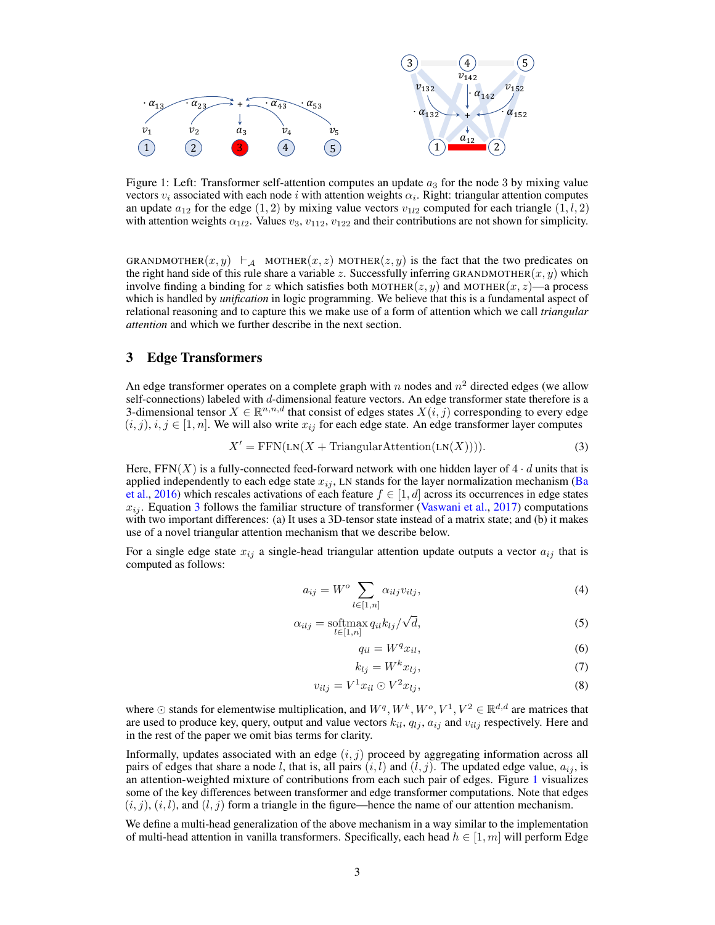<span id="page-2-0"></span>

Figure 1: Left: Transformer self-attention computes an update  $a_3$  for the node 3 by mixing value vectors  $v_i$  associated with each node i with attention weights  $\alpha_i$ . Right: triangular attention computes an update  $a_{12}$  for the edge (1, 2) by mixing value vectors  $v_{12}$  computed for each triangle (1, l, 2) with attention weights  $\alpha_{1l2}$ . Values  $v_3$ ,  $v_{112}$ ,  $v_{122}$  and their contributions are not shown for simplicity.

GRANDMOTHER $(x, y) \vdash_{\mathcal{A}}$  MOTHER $(x, z)$  MOTHER $(z, y)$  is the fact that the two predicates on the right hand side of this rule share a variable z. Successfully inferring GRANDMOTHER $(x, y)$  which involve finding a binding for z which satisfies both MOTHER( $z, y$ ) and MOTHER( $x, z$ )—a process which is handled by *unification* in logic programming. We believe that this is a fundamental aspect of relational reasoning and to capture this we make use of a form of attention which we call *triangular attention* and which we further describe in the next section.

# <span id="page-2-4"></span>3 Edge Transformers

An edge transformer operates on a complete graph with n nodes and  $n^2$  directed edges (we allow self-connections) labeled with d-dimensional feature vectors. An edge transformer state therefore is a 3-dimensional tensor  $X \in \mathbb{R}^{n,n,d}$  that consist of edges states  $X(i, j)$  corresponding to every edge  $(i, j), i, j \in [1, n]$ . We will also write  $x_{ij}$  for each edge state. An edge transformer layer computes

$$
X' = \text{FFN}(\text{LN}(X + \text{TriangularAttention}(\text{LN}(X))))\tag{3}
$$

Here,  $FFN(X)$  is a fully-connected feed-forward network with one hidden layer of  $4 \cdot d$  units that is applied independently to each edge state  $x_{ij}$ , LN stands for the layer normalization mechanism [\(Ba](#page-10-2) [et al.,](#page-10-2) [2016\)](#page-10-2) which rescales activations of each feature  $f \in [1, d]$  across its occurrences in edge states  $x_{ij}$ . Equation [3](#page-2-1) follows the familiar structure of transformer [\(Vaswani et al.,](#page-12-0) [2017\)](#page-12-0) computations with two important differences: (a) It uses a 3D-tensor state instead of a matrix state; and (b) it makes use of a novel triangular attention mechanism that we describe below.

For a single edge state  $x_{ij}$  a single-head triangular attention update outputs a vector  $a_{ij}$  that is computed as follows:

$$
a_{ij} = W^o \sum_{l \in [1,n]} \alpha_{ilj} v_{ilj},\tag{4}
$$

$$
\alpha_{ilj} = \underset{l \in [1,n]}{\text{softmax}} q_{il} k_{lj} / \sqrt{d},\tag{5}
$$

<span id="page-2-3"></span><span id="page-2-2"></span><span id="page-2-1"></span>
$$
q_{il} = W^q x_{il},\tag{6}
$$

$$
k_{lj} = W^k x_{lj},\tag{7}
$$

$$
v_{ilj} = V^1 x_{il} \odot V^2 x_{lj},\tag{8}
$$

where  $\odot$  stands for elementwise multiplication, and  $W^q, W^k, W^o, V^1, V^2 \in \mathbb{R}^{d,d}$  are matrices that are used to produce key, query, output and value vectors  $k_{il}$ ,  $q_{lj}$ ,  $a_{ij}$  and  $v_{ilj}$  respectively. Here and in the rest of the paper we omit bias terms for clarity.

Informally, updates associated with an edge  $(i, j)$  proceed by aggregating information across all pairs of edges that share a node l, that is, all pairs  $(i, l)$  and  $(l, j)$ . The updated edge value,  $a_{ij}$ , is an attention-weighted mixture of contributions from each such pair of edges. Figure [1](#page-2-0) visualizes some of the key differences between transformer and edge transformer computations. Note that edges  $(i, j)$ ,  $(i, l)$ , and  $(l, j)$  form a triangle in the figure—hence the name of our attention mechanism.

We define a multi-head generalization of the above mechanism in a way similar to the implementation of multi-head attention in vanilla transformers. Specifically, each head  $h \in [1, m]$  will perform Edge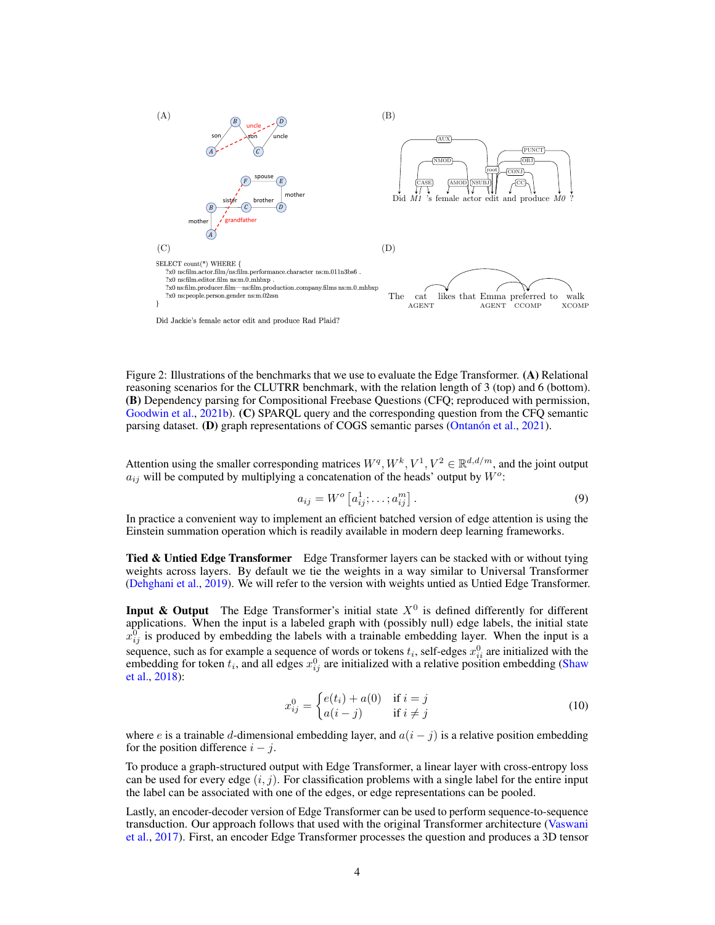<span id="page-3-0"></span>

reasoning scenarios for the CLUTRR benchmark, with the relation length of 3 (top) and 6 (bottom). Figure 2: Illustrations of the benchmarks that we use to evaluate the Edge Transformer. (A) Relational (B) Dependency parsing for Compositional Freebase Questions (CFQ; reproduced with permission, [Goodwin et al.,](#page-11-7) [2021b\)](#page-11-7). (C) SPARQL query and the corresponding question from the CFQ semantic parsing dataset. (D) graph representations of COGS semantic parses [\(Ontanón et al.,](#page-11-8) [2021\)](#page-11-8).

Attention using the smaller corresponding matrices  $W^q, W^k, V^1, V^2 \in \mathbb{R}^{d,d/m}$ , and the joint output  $a_{ij}$  will be computed by multiplying a concatenation of the heads' output by  $W^o$ :

$$
a_{ij} = W^o \left[ a_{ij}^1; \dots; a_{ij}^m \right]. \tag{9}
$$

In practice a convenient way to implement an efficient batched version of edge attention is using the Einstein summation operation which is readily available in modern deep learning frameworks.

**Tied & Untied Edge Transformer** Edge Transformer layers can be stacked with or without tying weights across layers. By default we tie the weights in a way similar to Universal Transformer [\(Dehghani et al.,](#page-10-3) [2019\)](#page-10-3). We will refer to the version with weights untied as Untied Edge Transformer.

**Input & Output** The Edge Transformer's initial state  $X^0$  is defined differently for different applications. When the input is a labeled graph with (possibly null) edge labels, the initial state  $x_{ij}^0$  is produced by embedding the labels with a trainable embedding layer. When the input is a sequence, such as for example a sequence of words or tokens  $t_i$ , self-edges  $x_{ii}^0$  are initialized with the embedding for token  $t_i$ , and all edges  $x_{ij}^0$  are initialized with a relative position embedding [\(Shaw](#page-12-7) [et al.,](#page-12-7) [2018\)](#page-12-7):

<span id="page-3-1"></span>
$$
x_{ij}^0 = \begin{cases} e(t_i) + a(0) & \text{if } i = j \\ a(i - j) & \text{if } i \neq j \end{cases}
$$
 (10)

where e is a trainable d-dimensional embedding layer, and  $a(i - j)$  is a relative position embedding for the position difference  $i - j$ .

To produce a graph-structured output with Edge Transformer, a linear layer with cross-entropy loss can be used for every edge  $(i, j)$ . For classification problems with a single label for the entire input the label can be associated with one of the edges, or edge representations can be pooled.

Lastly, an encoder-decoder version of Edge Transformer can be used to perform sequence-to-sequence transduction. Our approach follows that used with the original Transformer architecture [\(Vaswani](#page-12-0) [et al.,](#page-12-0) [2017\)](#page-12-0). First, an encoder Edge Transformer processes the question and produces a 3D tensor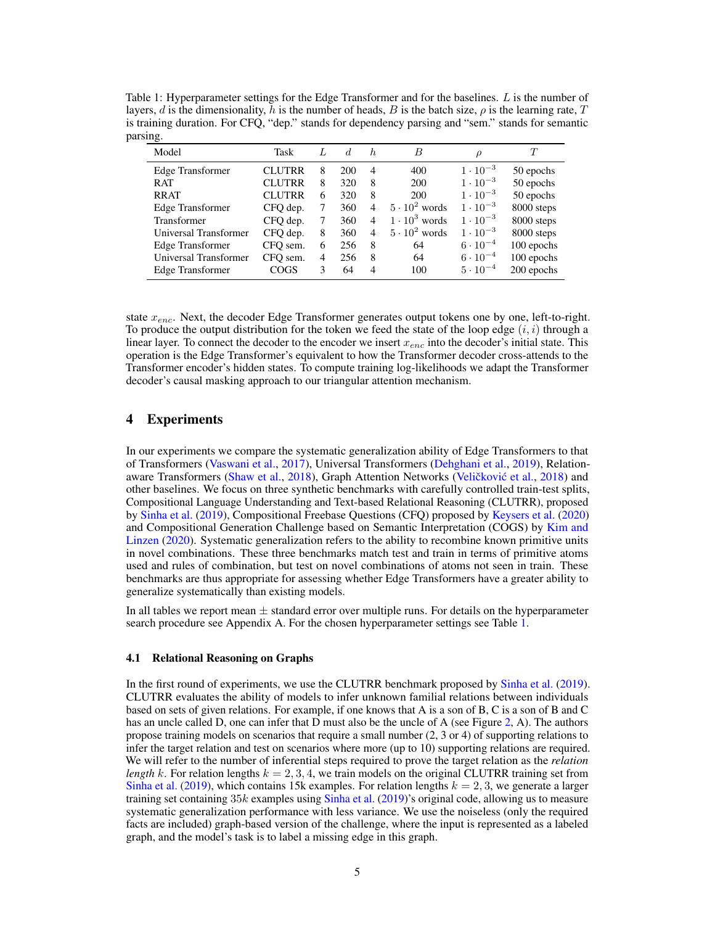<span id="page-4-0"></span>Table 1: Hyperparameter settings for the Edge Transformer and for the baselines. L is the number of layers, d is the dimensionality, h is the number of heads, B is the batch size,  $\rho$  is the learning rate, T is training duration. For CFQ, "dep." stands for dependency parsing and "sem." stands for semantic parsing.

| Model                 | Task          |   | d.  | h.             | B                    | $\rho$            | T          |
|-----------------------|---------------|---|-----|----------------|----------------------|-------------------|------------|
| Edge Transformer      | <b>CLUTRR</b> | 8 | 200 | 4              | 400                  | $1 \cdot 10^{-3}$ | 50 epochs  |
| RAT                   | <b>CLUTRR</b> | 8 | 320 | 8              | 200                  | $1 \cdot 10^{-3}$ | 50 epochs  |
| <b>RRAT</b>           | <b>CLUTRR</b> | 6 | 320 | 8              | 200                  | $1 \cdot 10^{-3}$ | 50 epochs  |
| Edge Transformer      | CFO dep.      |   | 360 | $\overline{4}$ | $5 \cdot 10^2$ words | $1 \cdot 10^{-3}$ | 8000 steps |
| Transformer           | CFQ dep.      |   | 360 | $\overline{4}$ | $1 \cdot 10^3$ words | $1 \cdot 10^{-3}$ | 8000 steps |
| Universal Transformer | CFQ dep.      | 8 | 360 | $\overline{4}$ | $5 \cdot 10^2$ words | $1 \cdot 10^{-3}$ | 8000 steps |
| Edge Transformer      | CFO sem.      | 6 | 256 | 8              | 64                   | $6 \cdot 10^{-4}$ | 100 epochs |
| Universal Transformer | CFO sem.      | 4 | 256 | 8              | 64                   | $6 \cdot 10^{-4}$ | 100 epochs |
| Edge Transformer      | COGS          | 3 | 64  | $\overline{4}$ | 100                  | $5 \cdot 10^{-4}$ | 200 epochs |

state  $x_{enc}$ . Next, the decoder Edge Transformer generates output tokens one by one, left-to-right. To produce the output distribution for the token we feed the state of the loop edge  $(i, i)$  through a linear layer. To connect the decoder to the encoder we insert  $x_{enc}$  into the decoder's initial state. This operation is the Edge Transformer's equivalent to how the Transformer decoder cross-attends to the Transformer encoder's hidden states. To compute training log-likelihoods we adapt the Transformer decoder's causal masking approach to our triangular attention mechanism.

# <span id="page-4-1"></span>4 Experiments

In our experiments we compare the systematic generalization ability of Edge Transformers to that of Transformers [\(Vaswani et al.,](#page-12-0) [2017\)](#page-12-0), Universal Transformers [\(Dehghani et al.,](#page-10-3) [2019\)](#page-10-3), Relation-aware Transformers [\(Shaw et al.,](#page-12-7) [2018\)](#page-12-4), Graph Attention Networks (Veličković et al., 2018) and other baselines. We focus on three synthetic benchmarks with carefully controlled train-test splits, Compositional Language Understanding and Text-based Relational Reasoning (CLUTRR), proposed by [Sinha et al.](#page-12-5) [\(2019\)](#page-12-5), Compositional Freebase Questions (CFQ) proposed by [Keysers et al.](#page-11-0) [\(2020\)](#page-11-0) and Compositional Generation Challenge based on Semantic Interpretation (COGS) by [Kim and](#page-11-9) [Linzen](#page-11-9) [\(2020\)](#page-11-9). Systematic generalization refers to the ability to recombine known primitive units in novel combinations. These three benchmarks match test and train in terms of primitive atoms used and rules of combination, but test on novel combinations of atoms not seen in train. These benchmarks are thus appropriate for assessing whether Edge Transformers have a greater ability to generalize systematically than existing models.

In all tables we report mean  $\pm$  standard error over multiple runs. For details on the hyperparameter search procedure see Appendix A. For the chosen hyperparameter settings see Table [1.](#page-4-0)

#### 4.1 Relational Reasoning on Graphs

In the first round of experiments, we use the CLUTRR benchmark proposed by [Sinha et al.](#page-12-5) [\(2019\)](#page-12-5). CLUTRR evaluates the ability of models to infer unknown familial relations between individuals based on sets of given relations. For example, if one knows that A is a son of B, C is a son of B and C has an uncle called D, one can infer that D must also be the uncle of A (see Figure [2,](#page-3-0) A). The authors propose training models on scenarios that require a small number (2, 3 or 4) of supporting relations to infer the target relation and test on scenarios where more (up to 10) supporting relations are required. We will refer to the number of inferential steps required to prove the target relation as the *relation length* k. For relation lengths  $k = 2, 3, 4$ , we train models on the original CLUTRR training set from [Sinha et al.](#page-12-5) [\(2019\)](#page-12-5), which contains 15k examples. For relation lengths  $k = 2, 3$ , we generate a larger training set containing  $35k$  examples using [Sinha et al.](#page-12-5) [\(2019\)](#page-12-5)'s original code, allowing us to measure systematic generalization performance with less variance. We use the noiseless (only the required facts are included) graph-based version of the challenge, where the input is represented as a labeled graph, and the model's task is to label a missing edge in this graph.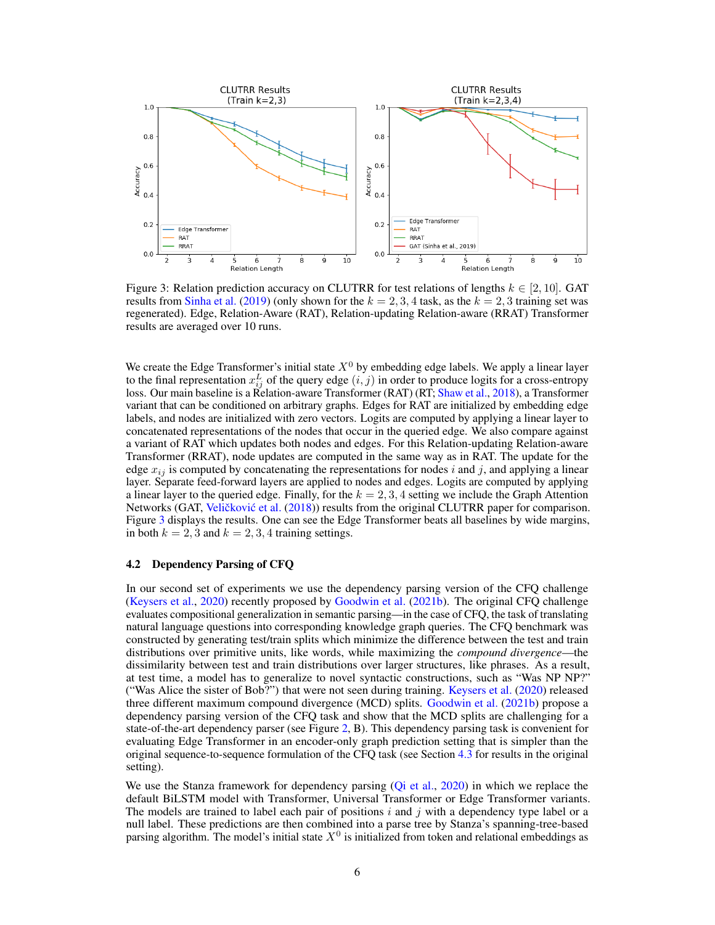<span id="page-5-0"></span>

Figure 3: Relation prediction accuracy on CLUTRR for test relations of lengths  $k \in [2, 10]$ . GAT results from [Sinha et al.](#page-12-5) [\(2019\)](#page-12-5) (only shown for the  $k = 2, 3, 4$  task, as the  $k = 2, 3$  training set was regenerated). Edge, Relation-Aware (RAT), Relation-updating Relation-aware (RRAT) Transformer results are averaged over 10 runs.

We create the Edge Transformer's initial state  $X<sup>0</sup>$  by embedding edge labels. We apply a linear layer to the final representation  $x_{ij}^L$  of the query edge  $(i, j)$  in order to produce logits for a cross-entropy loss. Our main baseline is a Relation-aware Transformer (RAT) (RT; [Shaw et al.,](#page-12-7) [2018\)](#page-12-7), a Transformer variant that can be conditioned on arbitrary graphs. Edges for RAT are initialized by embedding edge labels, and nodes are initialized with zero vectors. Logits are computed by applying a linear layer to concatenated representations of the nodes that occur in the queried edge. We also compare against a variant of RAT which updates both nodes and edges. For this Relation-updating Relation-aware Transformer (RRAT), node updates are computed in the same way as in RAT. The update for the edge  $x_{ij}$  is computed by concatenating the representations for nodes i and j, and applying a linear layer. Separate feed-forward layers are applied to nodes and edges. Logits are computed by applying a linear layer to the queried edge. Finally, for the  $k = 2, 3, 4$  setting we include the Graph Attention Networks (GAT, Veličković et al. [\(2018\)](#page-12-4)) results from the original CLUTRR paper for comparison. Figure [3](#page-5-0) displays the results. One can see the Edge Transformer beats all baselines by wide margins, in both  $k = 2, 3$  and  $k = 2, 3, 4$  training settings.

#### 4.2 Dependency Parsing of CFQ

In our second set of experiments we use the dependency parsing version of the CFQ challenge [\(Keysers et al.,](#page-11-0) [2020\)](#page-11-0) recently proposed by [Goodwin et al.](#page-11-7) [\(2021b\)](#page-11-7). The original CFQ challenge evaluates compositional generalization in semantic parsing—in the case of CFQ, the task of translating natural language questions into corresponding knowledge graph queries. The CFQ benchmark was constructed by generating test/train splits which minimize the difference between the test and train distributions over primitive units, like words, while maximizing the *compound divergence*—the dissimilarity between test and train distributions over larger structures, like phrases. As a result, at test time, a model has to generalize to novel syntactic constructions, such as "Was NP NP?" ("Was Alice the sister of Bob?") that were not seen during training. [Keysers et al.](#page-11-0) [\(2020\)](#page-11-0) released three different maximum compound divergence (MCD) splits. [Goodwin et al.](#page-11-7) [\(2021b\)](#page-11-7) propose a dependency parsing version of the CFQ task and show that the MCD splits are challenging for a state-of-the-art dependency parser (see Figure [2,](#page-3-0) B). This dependency parsing task is convenient for evaluating Edge Transformer in an encoder-only graph prediction setting that is simpler than the original sequence-to-sequence formulation of the CFQ task (see Section [4.3](#page-6-0) for results in the original setting).

We use the Stanza framework for dependency parsing [\(Qi et al.,](#page-11-10) [2020\)](#page-11-10) in which we replace the default BiLSTM model with Transformer, Universal Transformer or Edge Transformer variants. The models are trained to label each pair of positions  $i$  and  $j$  with a dependency type label or a null label. These predictions are then combined into a parse tree by Stanza's spanning-tree-based parsing algorithm. The model's initial state  $X^0$  is initialized from token and relational embeddings as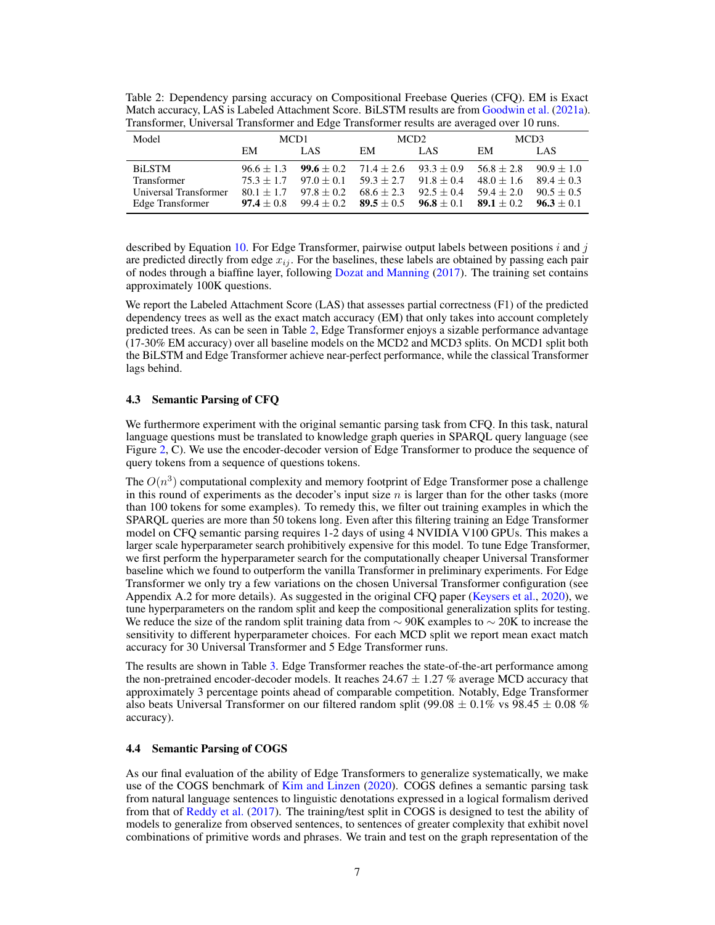<span id="page-6-1"></span>Table 2: Dependency parsing accuracy on Compositional Freebase Queries (CFQ). EM is Exact Match accuracy, LAS is Labeled Attachment Score. BiLSTM results are from [Goodwin et al.](#page-11-6) [\(2021a\)](#page-11-6). Transformer, Universal Transformer and Edge Transformer results are averaged over 10 runs.

| Model                 | MCD <sub>1</sub> |                                                             | MCD <sub>2</sub>                       |                                                             | MCD <sub>3</sub> |              |
|-----------------------|------------------|-------------------------------------------------------------|----------------------------------------|-------------------------------------------------------------|------------------|--------------|
|                       | EM               | LAS.                                                        | EM                                     | LAS.                                                        | EM               | LAS.         |
| <b>BiLSTM</b>         |                  | $96.6 \pm 1.3$ $99.6 \pm 0.2$ $71.4 \pm 2.6$ $93.3 \pm 0.9$ |                                        |                                                             | $56.8 + 2.8$     | $90.9 + 1.0$ |
| Transformer           | $75.3 + 1.7$     |                                                             | $97.0 + 0.1$ $59.3 + 2.7$ $91.8 + 0.4$ |                                                             | $48.0 + 1.6$     | $89.4 + 0.3$ |
| Universal Transformer | $80.1 + 1.7$     | $97.8 + 0.2$                                                |                                        | $68.6 + 2.3$ $92.5 + 0.4$                                   | $59.4 + 2.0$     | $90.5 + 0.5$ |
| Edge Transformer      | $97.4 + 0.8$     |                                                             |                                        | $99.4 \pm 0.2$ $89.5 \pm 0.5$ $96.8 \pm 0.1$ $89.1 \pm 0.2$ |                  | $96.3 + 0.1$ |

described by Equation [10.](#page-3-1) For Edge Transformer, pairwise output labels between positions  $i$  and  $j$ are predicted directly from edge  $x_{ij}$ . For the baselines, these labels are obtained by passing each pair of nodes through a biaffine layer, following [Dozat and Manning](#page-10-4) [\(2017\)](#page-10-4). The training set contains approximately 100K questions.

We report the Labeled Attachment Score (LAS) that assesses partial correctness (F1) of the predicted dependency trees as well as the exact match accuracy (EM) that only takes into account completely predicted trees. As can be seen in Table [2,](#page-6-1) Edge Transformer enjoys a sizable performance advantage (17-30% EM accuracy) over all baseline models on the MCD2 and MCD3 splits. On MCD1 split both the BiLSTM and Edge Transformer achieve near-perfect performance, while the classical Transformer lags behind.

#### <span id="page-6-0"></span>4.3 Semantic Parsing of CFQ

We furthermore experiment with the original semantic parsing task from CFQ. In this task, natural language questions must be translated to knowledge graph queries in SPARQL query language (see Figure [2,](#page-3-0) C). We use the encoder-decoder version of Edge Transformer to produce the sequence of query tokens from a sequence of questions tokens.

The  $O(n^3)$  computational complexity and memory footprint of Edge Transformer pose a challenge in this round of experiments as the decoder's input size  $n$  is larger than for the other tasks (more than 100 tokens for some examples). To remedy this, we filter out training examples in which the SPARQL queries are more than 50 tokens long. Even after this filtering training an Edge Transformer model on CFQ semantic parsing requires 1-2 days of using 4 NVIDIA V100 GPUs. This makes a larger scale hyperparameter search prohibitively expensive for this model. To tune Edge Transformer, we first perform the hyperparameter search for the computationally cheaper Universal Transformer baseline which we found to outperform the vanilla Transformer in preliminary experiments. For Edge Transformer we only try a few variations on the chosen Universal Transformer configuration (see Appendix A.2 for more details). As suggested in the original CFQ paper [\(Keysers et al.,](#page-11-0) [2020\)](#page-11-0), we tune hyperparameters on the random split and keep the compositional generalization splits for testing. We reduce the size of the random split training data from  $\sim$  90K examples to  $\sim$  20K to increase the sensitivity to different hyperparameter choices. For each MCD split we report mean exact match accuracy for 30 Universal Transformer and 5 Edge Transformer runs.

The results are shown in Table [3.](#page-7-0) Edge Transformer reaches the state-of-the-art performance among the non-pretrained encoder-decoder models. It reaches  $24.67 \pm 1.27$  % average MCD accuracy that approximately 3 percentage points ahead of comparable competition. Notably, Edge Transformer also beats Universal Transformer on our filtered random split (99.08  $\pm$  0.1% vs 98.45  $\pm$  0.08 % accuracy).

# 4.4 Semantic Parsing of COGS

As our final evaluation of the ability of Edge Transformers to generalize systematically, we make use of the COGS benchmark of [Kim and Linzen](#page-11-9) [\(2020\)](#page-11-9). COGS defines a semantic parsing task from natural language sentences to linguistic denotations expressed in a logical formalism derived from that of [Reddy et al.](#page-12-8) [\(2017\)](#page-12-8). The training/test split in COGS is designed to test the ability of models to generalize from observed sentences, to sentences of greater complexity that exhibit novel combinations of primitive words and phrases. We train and test on the graph representation of the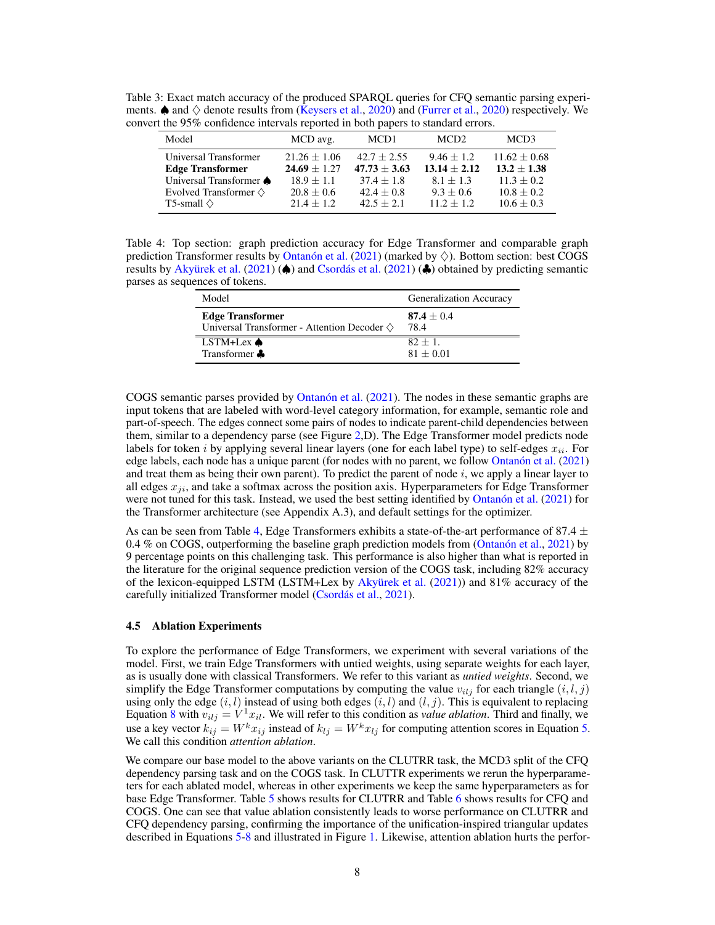<span id="page-7-0"></span>Table 3: Exact match accuracy of the produced SPARQL queries for CFQ semantic parsing experiments.  $\spadesuit$  and  $\diamondsuit$  denote results from [\(Keysers et al.,](#page-11-0) [2020\)](#page-11-2) and [\(Furrer et al.,](#page-11-2) 2020) respectively. We convert the 95% confidence intervals reported in both papers to standard errors.

| Model                                            | MCD avg.                         | MCD <sub>1</sub>                | MCD <sub>2</sub>               | MCD3                              |
|--------------------------------------------------|----------------------------------|---------------------------------|--------------------------------|-----------------------------------|
| Universal Transformer<br><b>Edge Transformer</b> | $21.26 + 1.06$<br>$24.69 + 1.27$ | $42.7 + 2.55$<br>$47.73 + 3.63$ | $9.46 + 1.2$<br>$13.14 + 2.12$ | $11.62 \pm 0.68$<br>$13.2 + 1.38$ |
| Universal Transformer <a></a>                    | $18.9 + 1.1$                     | $37.4 + 1.8$                    | $8.1 + 1.3$                    | $11.3 + 0.2$                      |
| Evolved Transformer $\diamondsuit$               | $20.8 + 0.6$                     | $42.4 + 0.8$                    | $9.3 + 0.6$                    | $10.8 + 0.2$                      |
| T5-small $\diamond$                              | $21.4 + 1.2$                     | $42.5 + 2.1$                    | $11.2 + 1.2$                   | $10.6 \pm 0.3$                    |

<span id="page-7-1"></span>Table 4: Top section: graph prediction accuracy for Edge Transformer and comparable graph prediction Transformer results by [Ontanón et al.](#page-11-8) [\(2021\)](#page-11-8) (marked by  $\diamondsuit$ ). Bottom section: best COGS results by [Akyürek et al.](#page-10-5) [\(2021\)](#page-10-6) ( $\spadesuit$ ) and [Csordás et al.](#page-10-6) (2021) ( $\clubsuit$ ) obtained by predicting semantic parses as sequences of tokens.

| Model                                                    | Generalization Accuracy |
|----------------------------------------------------------|-------------------------|
| <b>Edge Transformer</b>                                  | $87.4 + 0.4$            |
| Universal Transformer - Attention Decoder $\diamondsuit$ | 78.4                    |
| LSTM+Lex $\spadesuit$                                    | $82 + 1$ .              |
| Transformer &                                            | $81 + 0.01$             |

COGS semantic parses provided by [Ontanón et al.](#page-11-8) [\(2021\)](#page-11-8). The nodes in these semantic graphs are input tokens that are labeled with word-level category information, for example, semantic role and part-of-speech. The edges connect some pairs of nodes to indicate parent-child dependencies between them, similar to a dependency parse (see Figure [2,](#page-3-0)D). The Edge Transformer model predicts node labels for token i by applying several linear layers (one for each label type) to self-edges  $x_{ii}$ . For edge labels, each node has a unique parent (for nodes with no parent, we follow [Ontanón et al.](#page-11-8) [\(2021\)](#page-11-8) and treat them as being their own parent). To predict the parent of node  $i$ , we apply a linear layer to all edges  $x_{ij}$ , and take a softmax across the position axis. Hyperparameters for Edge Transformer were not tuned for this task. Instead, we used the best setting identified by [Ontanón et al.](#page-11-8) [\(2021\)](#page-11-8) for the Transformer architecture (see Appendix A.3), and default settings for the optimizer.

As can be seen from Table [4,](#page-7-1) Edge Transformers exhibits a state-of-the-art performance of 87.4  $\pm$ 0.4 % on COGS, outperforming the baseline graph prediction models from [\(Ontanón et al.,](#page-11-8) [2021\)](#page-11-8) by 9 percentage points on this challenging task. This performance is also higher than what is reported in the literature for the original sequence prediction version of the COGS task, including 82% accuracy of the lexicon-equipped LSTM (LSTM+Lex by [Akyürek et al.](#page-10-5) [\(2021\)](#page-10-5)) and 81% accuracy of the carefully initialized Transformer model [\(Csordás et al.,](#page-10-6) [2021\)](#page-10-6).

#### 4.5 Ablation Experiments

To explore the performance of Edge Transformers, we experiment with several variations of the model. First, we train Edge Transformers with untied weights, using separate weights for each layer, as is usually done with classical Transformers. We refer to this variant as *untied weights*. Second, we simplify the Edge Transformer computations by computing the value  $v_{ilj}$  for each triangle  $(i, l, j)$ using only the edge  $(i, l)$  instead of using both edges  $(i, l)$  and  $(l, j)$ . This is equivalent to replacing Equation [8](#page-2-2) with  $v_{i l j} = V^1 x_{i l}$ . We will refer to this condition as *value ablation*. Third and finally, we use a key vector  $k_{ij} = W^k x_{ij}$  instead of  $k_{ij} = W^k x_{ij}$  for computing attention scores in Equation [5.](#page-2-3) We call this condition *attention ablation*.

We compare our base model to the above variants on the CLUTRR task, the MCD3 split of the CFQ dependency parsing task and on the COGS task. In CLUTTR experiments we rerun the hyperparameters for each ablated model, whereas in other experiments we keep the same hyperparameters as for base Edge Transformer. Table [5](#page-8-0) shows results for CLUTRR and Table [6](#page-8-1) shows results for CFQ and COGS. One can see that value ablation consistently leads to worse performance on CLUTRR and CFQ dependency parsing, confirming the importance of the unification-inspired triangular updates described in Equations [5](#page-2-3)[-8](#page-2-2) and illustrated in Figure [1.](#page-2-0) Likewise, attention ablation hurts the perfor-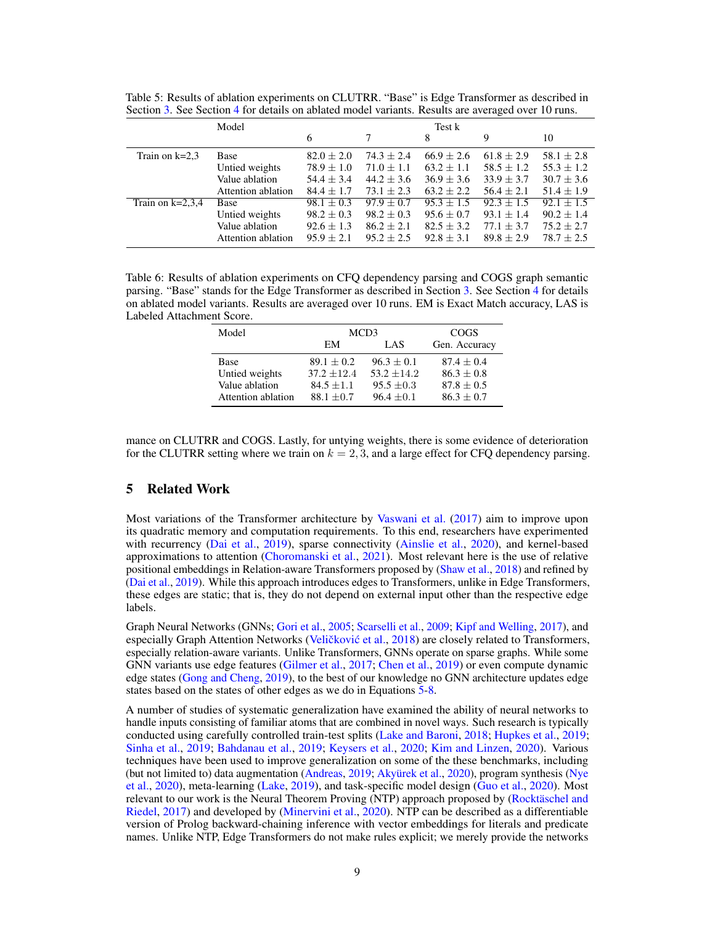|                    |                    |                |                |                | $\tilde{}$     |                |
|--------------------|--------------------|----------------|----------------|----------------|----------------|----------------|
|                    | Model              |                |                | Test k         |                |                |
|                    |                    | 6              | 7              | 8              | 9              | 10             |
| Train on $k=2,3$   | Base               | $82.0 \pm 2.0$ | $74.3 \pm 2.4$ | $66.9 \pm 2.6$ | $61.8 \pm 2.9$ | $58.1 \pm 2.8$ |
|                    | Untied weights     | $78.9 \pm 1.0$ | $71.0 \pm 1.1$ | $63.2 + 1.1$   | $58.5 \pm 1.2$ | $55.3 \pm 1.2$ |
|                    | Value ablation     | $54.4 \pm 3.4$ | $44.2 \pm 3.6$ | $36.9 \pm 3.6$ | $33.9 \pm 3.7$ | $30.7 \pm 3.6$ |
|                    | Attention ablation | $84.4 + 1.7$   | $73.1 + 2.3$   | $63.2 + 2.2$   | $56.4 + 2.1$   | $51.4 \pm 1.9$ |
| Train on $k=2,3,4$ | Base               | $98.1 \pm 0.3$ | $97.9 \pm 0.7$ | $95.3 + 1.5$   | $92.3 \pm 1.5$ | $92.1 + 1.5$   |
|                    | Untied weights     | $98.2 \pm 0.3$ | $98.2 \pm 0.3$ | $95.6 \pm 0.7$ | $93.1 \pm 1.4$ | $90.2 \pm 1.4$ |
|                    | Value ablation     | $92.6 + 1.3$   | $86.2 + 2.1$   | $82.5 \pm 3.2$ | $77.1 + 3.7$   | $75.2 + 2.7$   |
|                    | Attention ablation | $95.9 + 2.1$   | $95.2 + 2.5$   | $92.8 + 3.1$   | $89.8 + 2.9$   | $78.7 + 2.5$   |

<span id="page-8-0"></span>Table 5: Results of ablation experiments on CLUTRR. "Base" is Edge Transformer as described in Section [3.](#page-2-4) See Section [4](#page-4-1) for details on ablated model variants. Results are averaged over 10 runs.

<span id="page-8-1"></span>Table 6: Results of ablation experiments on CFQ dependency parsing and COGS graph semantic parsing. "Base" stands for the Edge Transformer as described in Section [3.](#page-2-4) See Section [4](#page-4-1) for details on ablated model variants. Results are averaged over 10 runs. EM is Exact Match accuracy, LAS is Labeled Attachment Score.

| Model              | MCD3          | COGS          |               |
|--------------------|---------------|---------------|---------------|
|                    | EM<br>LAS     |               | Gen. Accuracy |
| Base               | $89.1 + 0.2$  | $96.3 + 0.1$  | $87.4 + 0.4$  |
| Untied weights     | $37.2 + 12.4$ | $53.2 + 14.2$ | $86.3 + 0.8$  |
| Value ablation     | $84.5 + 1.1$  | $95.5 + 0.3$  | $87.8 + 0.5$  |
| Attention ablation | $88.1 + 0.7$  | $96.4 + 0.1$  | $86.3 + 0.7$  |

mance on CLUTRR and COGS. Lastly, for untying weights, there is some evidence of deterioration for the CLUTRR setting where we train on  $k = 2, 3$ , and a large effect for CFQ dependency parsing.

# 5 Related Work

Most variations of the Transformer architecture by [Vaswani et al.](#page-12-0) [\(2017\)](#page-12-0) aim to improve upon its quadratic memory and computation requirements. To this end, researchers have experimented with recurrency [\(Dai et al.,](#page-10-7) [2019\)](#page-10-7), sparse connectivity [\(Ainslie et al.,](#page-10-8) [2020\)](#page-10-8), and kernel-based approximations to attention [\(Choromanski et al.,](#page-10-9) [2021\)](#page-10-9). Most relevant here is the use of relative positional embeddings in Relation-aware Transformers proposed by [\(Shaw et al.,](#page-12-7) [2018\)](#page-12-7) and refined by [\(Dai et al.,](#page-10-7) [2019\)](#page-10-7). While this approach introduces edges to Transformers, unlike in Edge Transformers, these edges are static; that is, they do not depend on external input other than the respective edge labels.

Graph Neural Networks (GNNs; [Gori et al.,](#page-11-3) [2005;](#page-11-3) [Scarselli et al.,](#page-12-3) [2009;](#page-12-3) [Kipf and Welling,](#page-11-11) [2017\)](#page-11-11), and especially Graph Attention Networks (Veličković et al., [2018\)](#page-12-4) are closely related to Transformers, especially relation-aware variants. Unlike Transformers, GNNs operate on sparse graphs. While some GNN variants use edge features [\(Gilmer et al.,](#page-11-4) [2017;](#page-11-4) [Chen et al.,](#page-10-10) [2019\)](#page-10-10) or even compute dynamic edge states [\(Gong and Cheng,](#page-11-5) [2019\)](#page-11-5), to the best of our knowledge no GNN architecture updates edge states based on the states of other edges as we do in Equations [5](#page-2-3)[-8.](#page-2-2)

A number of studies of systematic generalization have examined the ability of neural networks to handle inputs consisting of familiar atoms that are combined in novel ways. Such research is typically conducted using carefully controlled train-test splits [\(Lake and Baroni,](#page-11-12) [2018;](#page-11-12) [Hupkes et al.,](#page-11-13) [2019;](#page-11-13) [Sinha et al.,](#page-12-5) [2019;](#page-12-5) [Bahdanau et al.,](#page-10-11) [2019;](#page-10-11) [Keysers et al.,](#page-11-0) [2020;](#page-11-0) [Kim and Linzen,](#page-11-9) [2020\)](#page-11-9). Various techniques have been used to improve generalization on some of the these benchmarks, including (but not limited to) data augmentation [\(Andreas,](#page-10-12) [2019;](#page-10-12) [Akyürek et al.,](#page-10-13) [2020\)](#page-10-13), program synthesis [\(Nye](#page-11-14) [et al.,](#page-11-14) [2020\)](#page-11-14), meta-learning [\(Lake,](#page-11-15) [2019\)](#page-11-15), and task-specific model design [\(Guo et al.,](#page-11-16) [2020\)](#page-11-16). Most relevant to our work is the Neural Theorem Proving (NTP) approach proposed by [\(Rocktäschel and](#page-12-9) [Riedel,](#page-12-9) [2017\)](#page-12-9) and developed by [\(Minervini et al.,](#page-11-17) [2020\)](#page-11-17). NTP can be described as a differentiable version of Prolog backward-chaining inference with vector embeddings for literals and predicate names. Unlike NTP, Edge Transformers do not make rules explicit; we merely provide the networks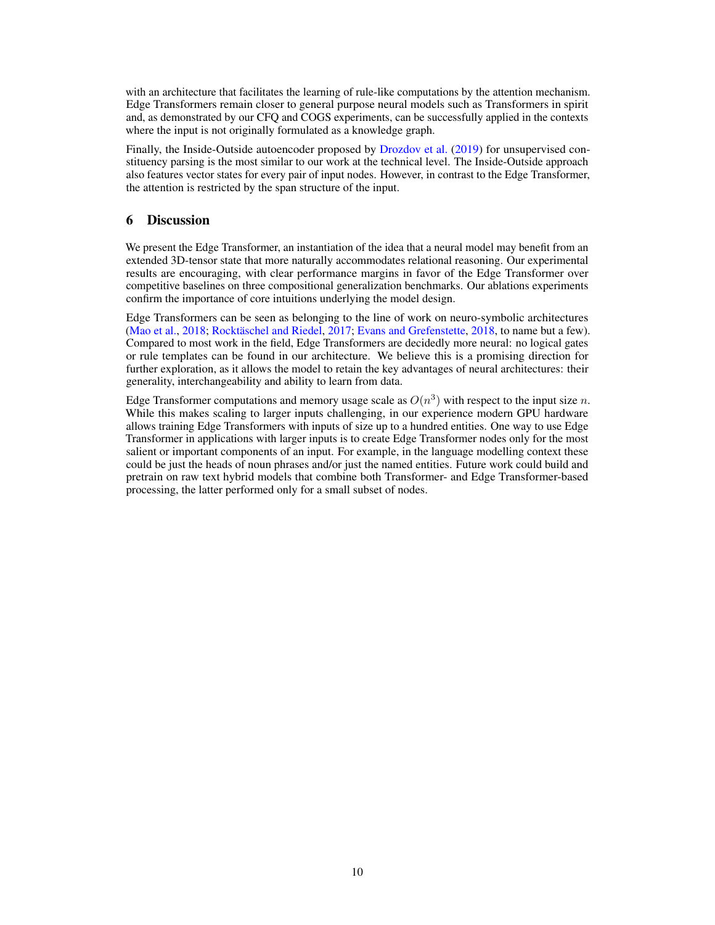with an architecture that facilitates the learning of rule-like computations by the attention mechanism. Edge Transformers remain closer to general purpose neural models such as Transformers in spirit and, as demonstrated by our CFQ and COGS experiments, can be successfully applied in the contexts where the input is not originally formulated as a knowledge graph.

Finally, the Inside-Outside autoencoder proposed by [Drozdov et al.](#page-10-14) [\(2019\)](#page-10-14) for unsupervised constituency parsing is the most similar to our work at the technical level. The Inside-Outside approach also features vector states for every pair of input nodes. However, in contrast to the Edge Transformer, the attention is restricted by the span structure of the input.

# 6 Discussion

We present the Edge Transformer, an instantiation of the idea that a neural model may benefit from an extended 3D-tensor state that more naturally accommodates relational reasoning. Our experimental results are encouraging, with clear performance margins in favor of the Edge Transformer over competitive baselines on three compositional generalization benchmarks. Our ablations experiments confirm the importance of core intuitions underlying the model design.

Edge Transformers can be seen as belonging to the line of work on neuro-symbolic architectures [\(Mao et al.,](#page-11-18) [2018;](#page-11-18) [Rocktäschel and Riedel,](#page-12-9) [2017;](#page-12-9) [Evans and Grefenstette,](#page-10-15) [2018,](#page-10-15) to name but a few). Compared to most work in the field, Edge Transformers are decidedly more neural: no logical gates or rule templates can be found in our architecture. We believe this is a promising direction for further exploration, as it allows the model to retain the key advantages of neural architectures: their generality, interchangeability and ability to learn from data.

Edge Transformer computations and memory usage scale as  $O(n^3)$  with respect to the input size n. While this makes scaling to larger inputs challenging, in our experience modern GPU hardware allows training Edge Transformers with inputs of size up to a hundred entities. One way to use Edge Transformer in applications with larger inputs is to create Edge Transformer nodes only for the most salient or important components of an input. For example, in the language modelling context these could be just the heads of noun phrases and/or just the named entities. Future work could build and pretrain on raw text hybrid models that combine both Transformer- and Edge Transformer-based processing, the latter performed only for a small subset of nodes.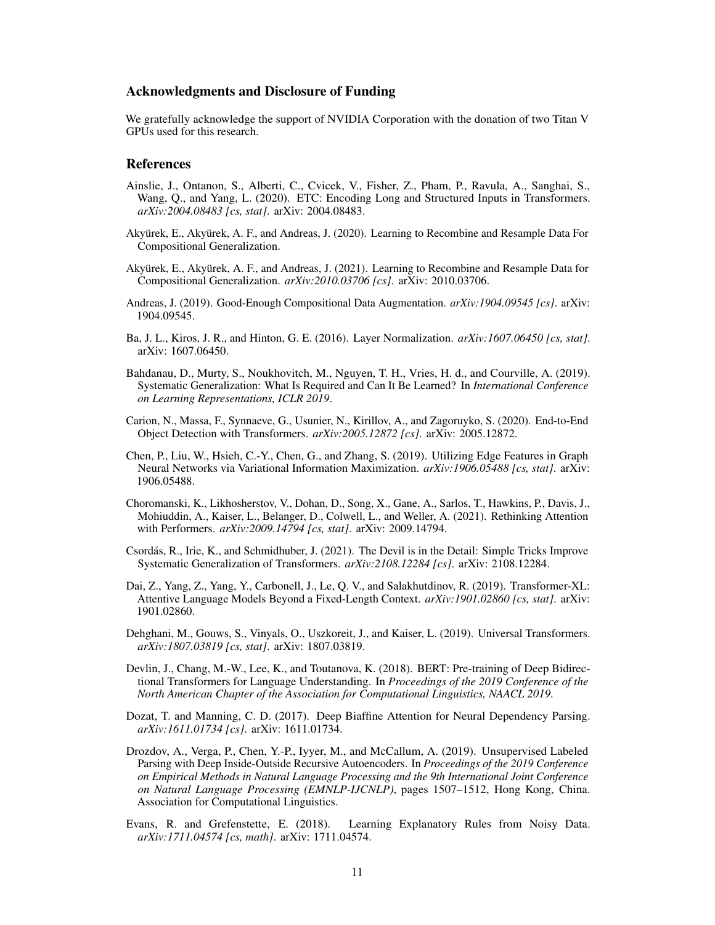### Acknowledgments and Disclosure of Funding

We gratefully acknowledge the support of NVIDIA Corporation with the donation of two Titan V GPUs used for this research.

#### References

- <span id="page-10-8"></span>Ainslie, J., Ontanon, S., Alberti, C., Cvicek, V., Fisher, Z., Pham, P., Ravula, A., Sanghai, S., Wang, Q., and Yang, L. (2020). ETC: Encoding Long and Structured Inputs in Transformers. *arXiv:2004.08483 [cs, stat]*. arXiv: 2004.08483.
- <span id="page-10-13"></span>Akyürek, E., Akyürek, A. F., and Andreas, J. (2020). Learning to Recombine and Resample Data For Compositional Generalization.
- <span id="page-10-5"></span>Akyürek, E., Akyürek, A. F., and Andreas, J. (2021). Learning to Recombine and Resample Data for Compositional Generalization. *arXiv:2010.03706 [cs]*. arXiv: 2010.03706.
- <span id="page-10-12"></span>Andreas, J. (2019). Good-Enough Compositional Data Augmentation. *arXiv:1904.09545 [cs]*. arXiv: 1904.09545.
- <span id="page-10-2"></span>Ba, J. L., Kiros, J. R., and Hinton, G. E. (2016). Layer Normalization. *arXiv:1607.06450 [cs, stat]*. arXiv: 1607.06450.
- <span id="page-10-11"></span>Bahdanau, D., Murty, S., Noukhovitch, M., Nguyen, T. H., Vries, H. d., and Courville, A. (2019). Systematic Generalization: What Is Required and Can It Be Learned? In *International Conference on Learning Representations, ICLR 2019*.
- <span id="page-10-1"></span>Carion, N., Massa, F., Synnaeve, G., Usunier, N., Kirillov, A., and Zagoruyko, S. (2020). End-to-End Object Detection with Transformers. *arXiv:2005.12872 [cs]*. arXiv: 2005.12872.
- <span id="page-10-10"></span>Chen, P., Liu, W., Hsieh, C.-Y., Chen, G., and Zhang, S. (2019). Utilizing Edge Features in Graph Neural Networks via Variational Information Maximization. *arXiv:1906.05488 [cs, stat]*. arXiv: 1906.05488.
- <span id="page-10-9"></span>Choromanski, K., Likhosherstov, V., Dohan, D., Song, X., Gane, A., Sarlos, T., Hawkins, P., Davis, J., Mohiuddin, A., Kaiser, L., Belanger, D., Colwell, L., and Weller, A. (2021). Rethinking Attention with Performers. *arXiv:2009.14794 [cs, stat]*. arXiv: 2009.14794.
- <span id="page-10-6"></span>Csordás, R., Irie, K., and Schmidhuber, J. (2021). The Devil is in the Detail: Simple Tricks Improve Systematic Generalization of Transformers. *arXiv:2108.12284 [cs]*. arXiv: 2108.12284.
- <span id="page-10-7"></span>Dai, Z., Yang, Z., Yang, Y., Carbonell, J., Le, Q. V., and Salakhutdinov, R. (2019). Transformer-XL: Attentive Language Models Beyond a Fixed-Length Context. *arXiv:1901.02860 [cs, stat]*. arXiv: 1901.02860.
- <span id="page-10-3"></span>Dehghani, M., Gouws, S., Vinyals, O., Uszkoreit, J., and Kaiser, L. (2019). Universal Transformers. *arXiv:1807.03819 [cs, stat]*. arXiv: 1807.03819.
- <span id="page-10-0"></span>Devlin, J., Chang, M.-W., Lee, K., and Toutanova, K. (2018). BERT: Pre-training of Deep Bidirectional Transformers for Language Understanding. In *Proceedings of the 2019 Conference of the North American Chapter of the Association for Computational Linguistics, NAACL 2019*.
- <span id="page-10-4"></span>Dozat, T. and Manning, C. D. (2017). Deep Biaffine Attention for Neural Dependency Parsing. *arXiv:1611.01734 [cs]*. arXiv: 1611.01734.
- <span id="page-10-14"></span>Drozdov, A., Verga, P., Chen, Y.-P., Iyyer, M., and McCallum, A. (2019). Unsupervised Labeled Parsing with Deep Inside-Outside Recursive Autoencoders. In *Proceedings of the 2019 Conference on Empirical Methods in Natural Language Processing and the 9th International Joint Conference on Natural Language Processing (EMNLP-IJCNLP)*, pages 1507–1512, Hong Kong, China. Association for Computational Linguistics.
- <span id="page-10-15"></span>Evans, R. and Grefenstette, E. (2018). Learning Explanatory Rules from Noisy Data. *arXiv:1711.04574 [cs, math]*. arXiv: 1711.04574.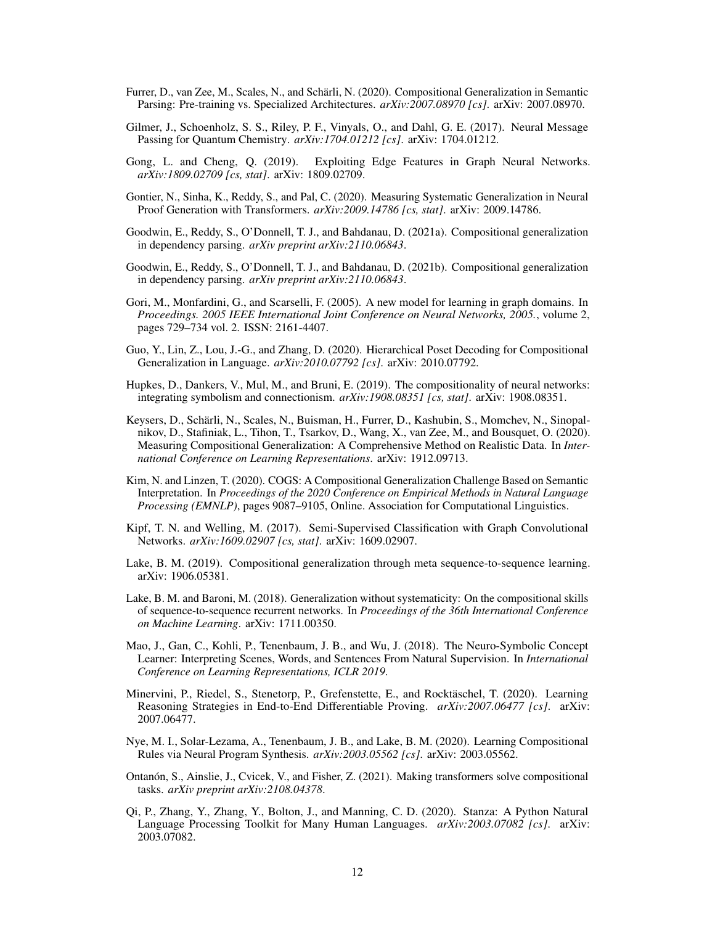- <span id="page-11-2"></span>Furrer, D., van Zee, M., Scales, N., and Schärli, N. (2020). Compositional Generalization in Semantic Parsing: Pre-training vs. Specialized Architectures. *arXiv:2007.08970 [cs]*. arXiv: 2007.08970.
- <span id="page-11-4"></span>Gilmer, J., Schoenholz, S. S., Riley, P. F., Vinyals, O., and Dahl, G. E. (2017). Neural Message Passing for Quantum Chemistry. *arXiv:1704.01212 [cs]*. arXiv: 1704.01212.
- <span id="page-11-5"></span>Gong, L. and Cheng, Q. (2019). Exploiting Edge Features in Graph Neural Networks. *arXiv:1809.02709 [cs, stat]*. arXiv: 1809.02709.
- <span id="page-11-1"></span>Gontier, N., Sinha, K., Reddy, S., and Pal, C. (2020). Measuring Systematic Generalization in Neural Proof Generation with Transformers. *arXiv:2009.14786 [cs, stat]*. arXiv: 2009.14786.
- <span id="page-11-6"></span>Goodwin, E., Reddy, S., O'Donnell, T. J., and Bahdanau, D. (2021a). Compositional generalization in dependency parsing. *arXiv preprint arXiv:2110.06843*.
- <span id="page-11-7"></span>Goodwin, E., Reddy, S., O'Donnell, T. J., and Bahdanau, D. (2021b). Compositional generalization in dependency parsing. *arXiv preprint arXiv:2110.06843*.
- <span id="page-11-3"></span>Gori, M., Monfardini, G., and Scarselli, F. (2005). A new model for learning in graph domains. In *Proceedings. 2005 IEEE International Joint Conference on Neural Networks, 2005.*, volume 2, pages 729–734 vol. 2. ISSN: 2161-4407.
- <span id="page-11-16"></span>Guo, Y., Lin, Z., Lou, J.-G., and Zhang, D. (2020). Hierarchical Poset Decoding for Compositional Generalization in Language. *arXiv:2010.07792 [cs]*. arXiv: 2010.07792.
- <span id="page-11-13"></span>Hupkes, D., Dankers, V., Mul, M., and Bruni, E. (2019). The compositionality of neural networks: integrating symbolism and connectionism. *arXiv:1908.08351 [cs, stat]*. arXiv: 1908.08351.
- <span id="page-11-0"></span>Keysers, D., Schärli, N., Scales, N., Buisman, H., Furrer, D., Kashubin, S., Momchev, N., Sinopalnikov, D., Stafiniak, L., Tihon, T., Tsarkov, D., Wang, X., van Zee, M., and Bousquet, O. (2020). Measuring Compositional Generalization: A Comprehensive Method on Realistic Data. In *International Conference on Learning Representations*. arXiv: 1912.09713.
- <span id="page-11-9"></span>Kim, N. and Linzen, T. (2020). COGS: A Compositional Generalization Challenge Based on Semantic Interpretation. In *Proceedings of the 2020 Conference on Empirical Methods in Natural Language Processing (EMNLP)*, pages 9087–9105, Online. Association for Computational Linguistics.
- <span id="page-11-11"></span>Kipf, T. N. and Welling, M. (2017). Semi-Supervised Classification with Graph Convolutional Networks. *arXiv:1609.02907 [cs, stat]*. arXiv: 1609.02907.
- <span id="page-11-15"></span>Lake, B. M. (2019). Compositional generalization through meta sequence-to-sequence learning. arXiv: 1906.05381.
- <span id="page-11-12"></span>Lake, B. M. and Baroni, M. (2018). Generalization without systematicity: On the compositional skills of sequence-to-sequence recurrent networks. In *Proceedings of the 36th International Conference on Machine Learning*. arXiv: 1711.00350.
- <span id="page-11-18"></span>Mao, J., Gan, C., Kohli, P., Tenenbaum, J. B., and Wu, J. (2018). The Neuro-Symbolic Concept Learner: Interpreting Scenes, Words, and Sentences From Natural Supervision. In *International Conference on Learning Representations, ICLR 2019*.
- <span id="page-11-17"></span>Minervini, P., Riedel, S., Stenetorp, P., Grefenstette, E., and Rocktäschel, T. (2020). Learning Reasoning Strategies in End-to-End Differentiable Proving. *arXiv:2007.06477 [cs]*. arXiv: 2007.06477.
- <span id="page-11-14"></span>Nye, M. I., Solar-Lezama, A., Tenenbaum, J. B., and Lake, B. M. (2020). Learning Compositional Rules via Neural Program Synthesis. *arXiv:2003.05562 [cs]*. arXiv: 2003.05562.
- <span id="page-11-8"></span>Ontanón, S., Ainslie, J., Cvicek, V., and Fisher, Z. (2021). Making transformers solve compositional tasks. *arXiv preprint arXiv:2108.04378*.
- <span id="page-11-10"></span>Qi, P., Zhang, Y., Zhang, Y., Bolton, J., and Manning, C. D. (2020). Stanza: A Python Natural Language Processing Toolkit for Many Human Languages. *arXiv:2003.07082 [cs]*. arXiv: 2003.07082.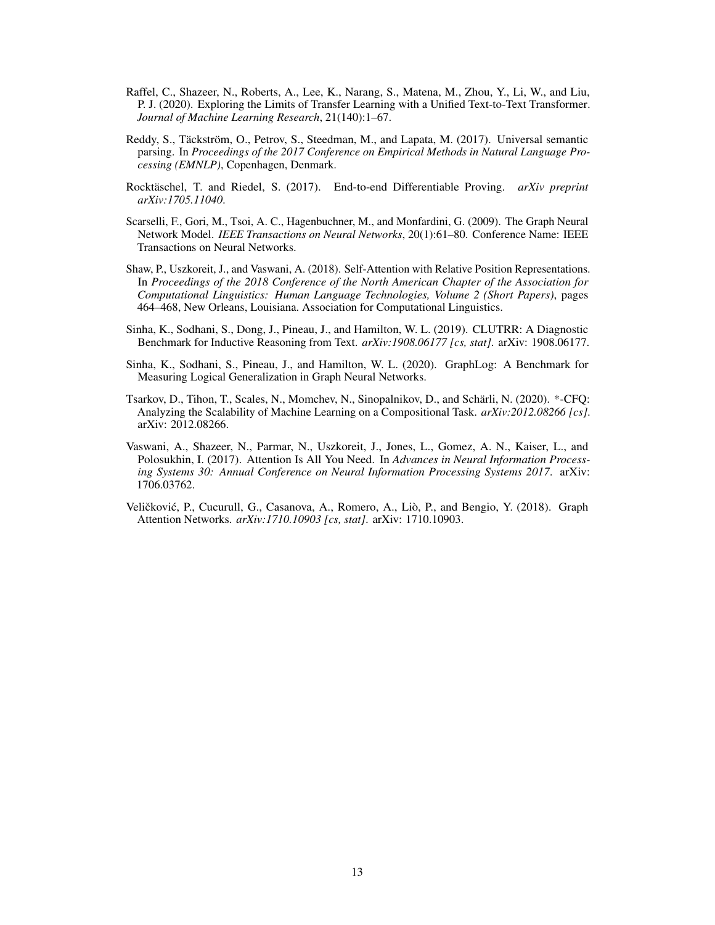- <span id="page-12-1"></span>Raffel, C., Shazeer, N., Roberts, A., Lee, K., Narang, S., Matena, M., Zhou, Y., Li, W., and Liu, P. J. (2020). Exploring the Limits of Transfer Learning with a Unified Text-to-Text Transformer. *Journal of Machine Learning Research*, 21(140):1–67.
- <span id="page-12-8"></span>Reddy, S., Täckström, O., Petrov, S., Steedman, M., and Lapata, M. (2017). Universal semantic parsing. In *Proceedings of the 2017 Conference on Empirical Methods in Natural Language Processing (EMNLP)*, Copenhagen, Denmark.
- <span id="page-12-9"></span>Rocktäschel, T. and Riedel, S. (2017). End-to-end Differentiable Proving. *arXiv preprint arXiv:1705.11040*.
- <span id="page-12-3"></span>Scarselli, F., Gori, M., Tsoi, A. C., Hagenbuchner, M., and Monfardini, G. (2009). The Graph Neural Network Model. *IEEE Transactions on Neural Networks*, 20(1):61–80. Conference Name: IEEE Transactions on Neural Networks.
- <span id="page-12-7"></span>Shaw, P., Uszkoreit, J., and Vaswani, A. (2018). Self-Attention with Relative Position Representations. In *Proceedings of the 2018 Conference of the North American Chapter of the Association for Computational Linguistics: Human Language Technologies, Volume 2 (Short Papers)*, pages 464–468, New Orleans, Louisiana. Association for Computational Linguistics.
- <span id="page-12-5"></span>Sinha, K., Sodhani, S., Dong, J., Pineau, J., and Hamilton, W. L. (2019). CLUTRR: A Diagnostic Benchmark for Inductive Reasoning from Text. *arXiv:1908.06177 [cs, stat]*. arXiv: 1908.06177.
- <span id="page-12-6"></span>Sinha, K., Sodhani, S., Pineau, J., and Hamilton, W. L. (2020). GraphLog: A Benchmark for Measuring Logical Generalization in Graph Neural Networks.
- <span id="page-12-2"></span>Tsarkov, D., Tihon, T., Scales, N., Momchev, N., Sinopalnikov, D., and Schärli, N. (2020). \*-CFQ: Analyzing the Scalability of Machine Learning on a Compositional Task. *arXiv:2012.08266 [cs]*. arXiv: 2012.08266.
- <span id="page-12-0"></span>Vaswani, A., Shazeer, N., Parmar, N., Uszkoreit, J., Jones, L., Gomez, A. N., Kaiser, L., and Polosukhin, I. (2017). Attention Is All You Need. In *Advances in Neural Information Processing Systems 30: Annual Conference on Neural Information Processing Systems 2017*. arXiv: 1706.03762.
- <span id="page-12-4"></span>Veličković, P., Cucurull, G., Casanova, A., Romero, A., Liò, P., and Bengio, Y. (2018). Graph Attention Networks. *arXiv:1710.10903 [cs, stat]*. arXiv: 1710.10903.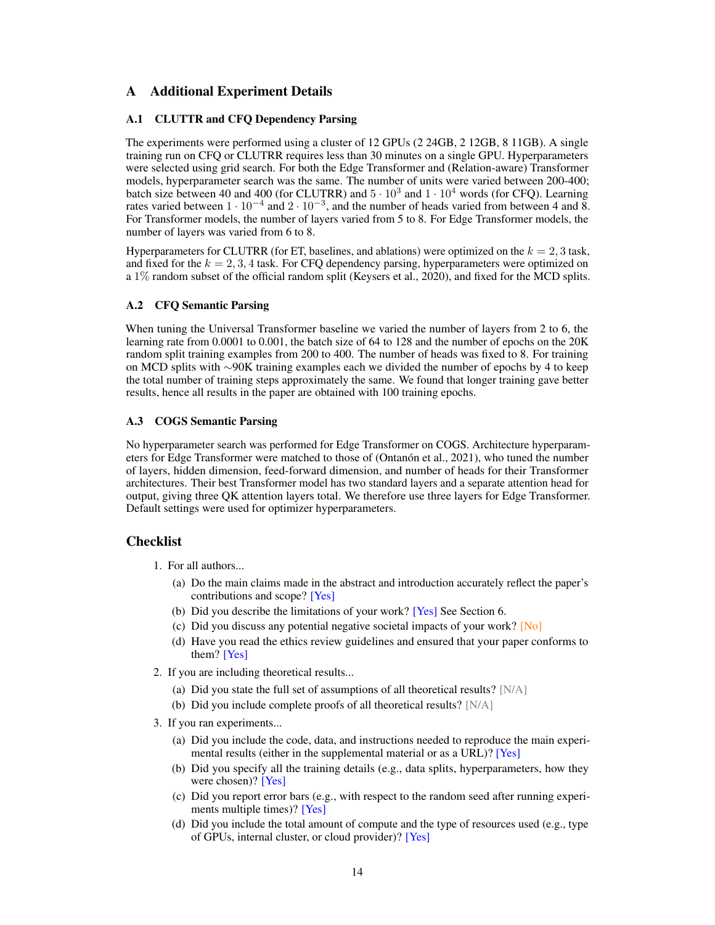# A Additional Experiment Details

# A.1 CLUTTR and CFQ Dependency Parsing

The experiments were performed using a cluster of 12 GPUs (2 24GB, 2 12GB, 8 11GB). A single training run on CFQ or CLUTRR requires less than 30 minutes on a single GPU. Hyperparameters were selected using grid search. For both the Edge Transformer and (Relation-aware) Transformer models, hyperparameter search was the same. The number of units were varied between 200-400; batch size between 40 and 400 (for CLUTRR) and  $5 \cdot 10^3$  and  $1 \cdot 10^4$  words (for CFQ). Learning rates varied between  $1 \cdot 10^{-4}$  and  $2 \cdot 10^{-3}$ , and the number of heads varied from between 4 and 8. For Transformer models, the number of layers varied from 5 to 8. For Edge Transformer models, the number of layers was varied from 6 to 8.

Hyperparameters for CLUTRR (for ET, baselines, and ablations) were optimized on the  $k = 2, 3$  task, and fixed for the  $k = 2, 3, 4$  task. For CFQ dependency parsing, hyperparameters were optimized on a 1% random subset of the official random split (Keysers et al., 2020), and fixed for the MCD splits.

# A.2 CFQ Semantic Parsing

When tuning the Universal Transformer baseline we varied the number of layers from 2 to 6, the learning rate from 0.0001 to 0.001, the batch size of 64 to 128 and the number of epochs on the 20K random split training examples from 200 to 400. The number of heads was fixed to 8. For training on MCD splits with ∼90K training examples each we divided the number of epochs by 4 to keep the total number of training steps approximately the same. We found that longer training gave better results, hence all results in the paper are obtained with 100 training epochs.

# A.3 COGS Semantic Parsing

No hyperparameter search was performed for Edge Transformer on COGS. Architecture hyperparameters for Edge Transformer were matched to those of (Ontanón et al., 2021), who tuned the number of layers, hidden dimension, feed-forward dimension, and number of heads for their Transformer architectures. Their best Transformer model has two standard layers and a separate attention head for output, giving three QK attention layers total. We therefore use three layers for Edge Transformer. Default settings were used for optimizer hyperparameters.

# **Checklist**

- 1. For all authors...
	- (a) Do the main claims made in the abstract and introduction accurately reflect the paper's contributions and scope? [Yes]
	- (b) Did you describe the limitations of your work? [Yes] See Section 6.
	- (c) Did you discuss any potential negative societal impacts of your work? [No]
	- (d) Have you read the ethics review guidelines and ensured that your paper conforms to them? [Yes]
- 2. If you are including theoretical results...
	- (a) Did you state the full set of assumptions of all theoretical results?  $[N/A]$
	- (b) Did you include complete proofs of all theoretical results? [N/A]
- 3. If you ran experiments...
	- (a) Did you include the code, data, and instructions needed to reproduce the main experimental results (either in the supplemental material or as a URL)? [Yes]
	- (b) Did you specify all the training details (e.g., data splits, hyperparameters, how they were chosen)? [Yes]
	- (c) Did you report error bars (e.g., with respect to the random seed after running experiments multiple times)? [Yes]
	- (d) Did you include the total amount of compute and the type of resources used (e.g., type of GPUs, internal cluster, or cloud provider)? [Yes]